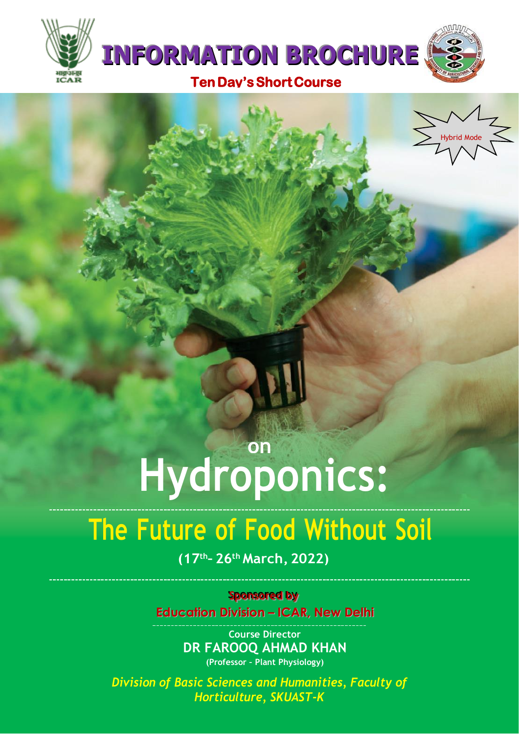



# **on Hydroponics:**

# **The Future of Food Without Soil**

**(17th– 26th March, 2022)**

**Sponsored by** 

**Education Division – ICAR, New Delhi**

**Course Director DR FAROOQ AHMAD KHAN (Professor – Plant Physiology)**

*Division of Basic Sciences and Humanities, Faculty of Horticulture, SKUAST-K*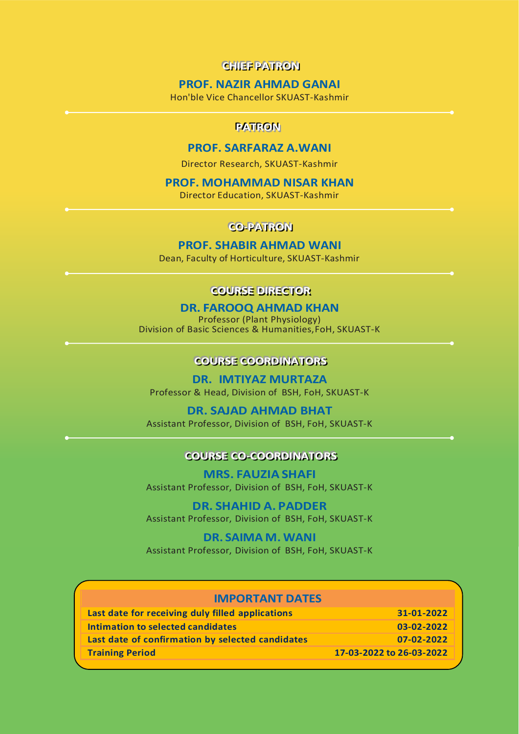## **CHIEF PATRON**

### **PROF. NAZIR AHMAD GANAI**

Hon'ble Vice Chancellor SKUAST-Kashmir

#### **PATROM**

### **PROF. SARFARAZ A.WANI**

Director Research, SKUAST-Kashmir

#### **PROF. MOHAMMAD NISAR KHAN**

Director Education, SKUAST-Kashmir

## CO-PATRON

#### **PROF. SHABIR AHMAD WANI**

Dean, Faculty of Horticulture, SKUAST-Kashmir

## **COURSE DIRECTOR**

#### **DR. FAROOQ AHMAD KHAN**

Professor (Plant Physiology) Division of Basic Sciences & Humanities,FoH, SKUAST-K

## **COURSE COORDINATORS**

**DR. IMTIYAZ MURTAZA** Professor & Head, Division of BSH, FoH, SKUAST-K

#### **DR. SAJAD AHMAD BHAT**

Assistant Professor, Division of BSH, FoH, SKUAST-K

## **COURSE CO-COORDINATORS**

**MRS. FAUZIA SHAFI** Assistant Professor, Division of BSH, FoH, SKUAST-K

**DR. SHAHID A. PADDER** Assistant Professor, Division of BSH, FoH, SKUAST-K

**DR. SAIMA M. WANI** Assistant Professor, Division of BSH, FoH, SKUAST-K

| <b>IMPORTANT DATES</b>                           |                          |
|--------------------------------------------------|--------------------------|
| Last date for receiving duly filled applications | 31-01-2022               |
| Intimation to selected candidates                | 03-02-2022               |
| Last date of confirmation by selected candidates | 07-02-2022               |
| <b>Training Period</b>                           | 17-03-2022 to 26-03-2022 |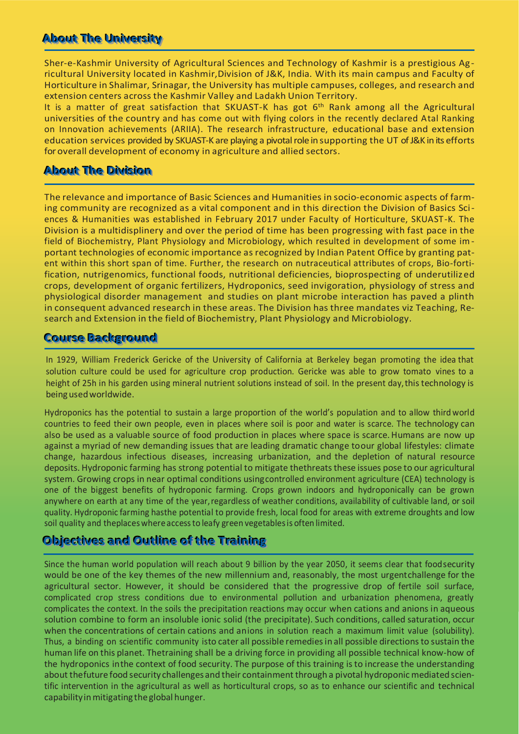# **About The University**

Sher-e-Kashmir University of Agricultural Sciences and Technology of Kashmir is a prestigious Agricultural University located in Kashmir,Division of J&K, India. With its main campus and Faculty of Horticulture in Shalimar, Srinagar, the University has multiple campuses, colleges, and research and extension centers across the Kashmir Valley and Ladakh Union Territory.

It is a matter of great satisfaction that SKUAST-K has got 6<sup>th</sup> Rank among all the Agricultural universities of the country and has come out with flying colors in the recently declared Atal Ranking on Innovation achievements (ARIIA). The research infrastructure, educational base and extension education services provided by SKUAST-K are playing a pivotal role in supporting the UT of J&K in its efforts for overall development of economy in agriculture and allied sectors.

# **About The Division**

The relevance and importance of Basic Sciences and Humanities in socio-economic aspects of farming community are recognized as a vital component and in this direction the Division of Basics Sciences & Humanities was established in February 2017 under Faculty of Horticulture, SKUAST-K. The Division is a multidisplinery and over the period of time has been progressing with fast pace in the field of Biochemistry, Plant Physiology and Microbiology, which resulted in development of some important technologies of economic importance as recognized by Indian Patent Office by granting patent within this short span of time. Further, the research on nutraceutical attributes of crops, Bio-fortification, nutrigenomics, functional foods, nutritional deficiencies, bioprospecting of underutilized crops, development of organic fertilizers, Hydroponics, seed invigoration, physiology of stress and physiological disorder management and studies on plant microbe interaction has paved a plinth in consequent advanced research in these areas. The Division has three mandates viz Teaching, Research and Extension in the field of Biochemistry, Plant Physiology and Microbiology.

# **Course Background**

In 1929, William Frederick Gericke of the University of California at Berkeley began promoting the idea that solution culture could be used for agriculture crop production. Gericke was able to grow tomato vines to a height of 25h in his garden using mineral nutrient solutions instead of soil. In the present day,thistechnology is being usedworldwide.

Hydroponics has the potential to sustain a large proportion of the world's population and to allow third world countries to feed their own people, even in places where soil is poor and water is scarce. The technology can also be used as a valuable source of food production in places where space is scarce.Humans are now up against a myriad of new demanding issues that are leading dramatic change toour global lifestyles: climate change, hazardous infectious diseases, increasing urbanization, and the depletion of natural resource deposits. Hydroponic farming has strong potential to mitigate thethreats these issues pose to our agricultural system. Growing crops in near optimal conditions usingcontrolled environment agriculture (CEA) technology is one of the biggest benefits of hydroponic farming. Crops grown indoors and hydroponically can be grown anywhere on earth at any time of the year, regardless of weather conditions, availability of cultivable land, or soil quality. Hydroponic farming hasthe potential to provide fresh, local food for areas with extreme droughts and low soil quality and theplaceswhereaccessto leafy green vegetablesis often limited.

# **Objectives and Outline of the Training**

Since the human world population will reach about 9 billion by the year 2050, it seems clear that foodsecurity would be one of the key themes of the new millennium and, reasonably, the most urgentchallenge for the agricultural sector. However, it should be considered that the progressive drop of fertile soil surface, complicated crop stress conditions due to environmental pollution and urbanization phenomena, greatly complicates the context. In the soils the precipitation reactions may occur when cations and anions in aqueous solution combine to form an insoluble ionic solid (the precipitate). Such conditions, called saturation, occur when the concentrations of certain cations and anions in solution reach a maximum limit value (solubility). Thus, a binding on scientific community isto cater all possible remediesin all possible directionsto sustain the human life on this planet. Thetraining shall be a driving force in providing all possible technical know-how of the hydroponics inthe context of food security. The purpose of this training isto increase the understanding about thefuture food security challenges and their containment through a pivotal hydroponic mediated scientific intervention in the agricultural as well as horticultural crops, so as to enhance our scientific and technical capability in mitigating the global hunger.